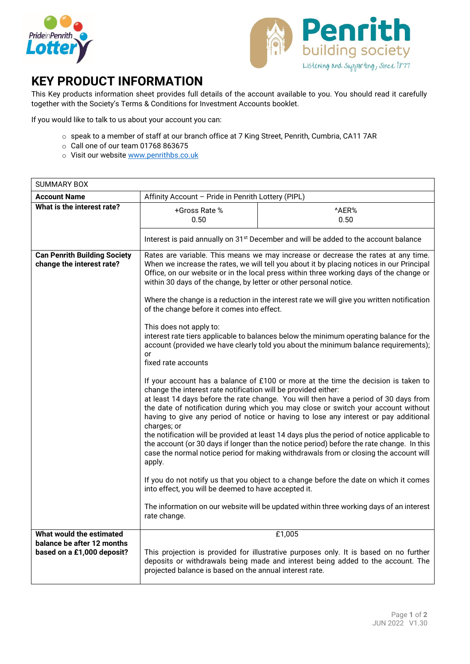



## **KEY PRODUCT INFORMATION**

This Key products information sheet provides full details of the account available to you. You should read it carefully together with the Society's Terms & Conditions for Investment Accounts booklet.

If you would like to talk to us about your account you can:

- o speak to a member of staff at our branch office at 7 King Street, Penrith, Cumbria, CA11 7AR
- o Call one of our team 01768 863675
- o Visit our website www.penrithbs.co.uk

| <b>SUMMARY BOX</b>                                               |                                                                                                                                                                                                                                                                                                                                                                                                                                                                                                                                                                                                                                                                                                                                                                                                                                                                                                                                                                                                                                                                                                                                                                                                                                                                                                                                                                                                                                                                                |                                                                                         |
|------------------------------------------------------------------|--------------------------------------------------------------------------------------------------------------------------------------------------------------------------------------------------------------------------------------------------------------------------------------------------------------------------------------------------------------------------------------------------------------------------------------------------------------------------------------------------------------------------------------------------------------------------------------------------------------------------------------------------------------------------------------------------------------------------------------------------------------------------------------------------------------------------------------------------------------------------------------------------------------------------------------------------------------------------------------------------------------------------------------------------------------------------------------------------------------------------------------------------------------------------------------------------------------------------------------------------------------------------------------------------------------------------------------------------------------------------------------------------------------------------------------------------------------------------------|-----------------------------------------------------------------------------------------|
| <b>Account Name</b>                                              | Affinity Account - Pride in Penrith Lottery (PIPL)                                                                                                                                                                                                                                                                                                                                                                                                                                                                                                                                                                                                                                                                                                                                                                                                                                                                                                                                                                                                                                                                                                                                                                                                                                                                                                                                                                                                                             |                                                                                         |
| What is the interest rate?                                       | +Gross Rate %<br>0.50                                                                                                                                                                                                                                                                                                                                                                                                                                                                                                                                                                                                                                                                                                                                                                                                                                                                                                                                                                                                                                                                                                                                                                                                                                                                                                                                                                                                                                                          | ^AER%<br>0.50                                                                           |
|                                                                  | Interest is paid annually on 31 <sup>st</sup> December and will be added to the account balance                                                                                                                                                                                                                                                                                                                                                                                                                                                                                                                                                                                                                                                                                                                                                                                                                                                                                                                                                                                                                                                                                                                                                                                                                                                                                                                                                                                |                                                                                         |
| <b>Can Penrith Building Society</b><br>change the interest rate? | Rates are variable. This means we may increase or decrease the rates at any time.<br>When we increase the rates, we will tell you about it by placing notices in our Principal<br>Office, on our website or in the local press within three working days of the change or<br>within 30 days of the change, by letter or other personal notice.<br>Where the change is a reduction in the interest rate we will give you written notification<br>of the change before it comes into effect.<br>This does not apply to:<br>interest rate tiers applicable to balances below the minimum operating balance for the<br>account (provided we have clearly told you about the minimum balance requirements);<br>or<br>fixed rate accounts<br>If your account has a balance of £100 or more at the time the decision is taken to<br>change the interest rate notification will be provided either:<br>at least 14 days before the rate change. You will then have a period of 30 days from<br>the date of notification during which you may close or switch your account without<br>having to give any period of notice or having to lose any interest or pay additional<br>charges; or<br>the notification will be provided at least 14 days plus the period of notice applicable to<br>the account (or 30 days if longer than the notice period) before the rate change. In this<br>case the normal notice period for making withdrawals from or closing the account will<br>apply. |                                                                                         |
|                                                                  |                                                                                                                                                                                                                                                                                                                                                                                                                                                                                                                                                                                                                                                                                                                                                                                                                                                                                                                                                                                                                                                                                                                                                                                                                                                                                                                                                                                                                                                                                |                                                                                         |
|                                                                  |                                                                                                                                                                                                                                                                                                                                                                                                                                                                                                                                                                                                                                                                                                                                                                                                                                                                                                                                                                                                                                                                                                                                                                                                                                                                                                                                                                                                                                                                                |                                                                                         |
|                                                                  | If you do not notify us that you object to a change before the date on which it comes<br>into effect, you will be deemed to have accepted it.                                                                                                                                                                                                                                                                                                                                                                                                                                                                                                                                                                                                                                                                                                                                                                                                                                                                                                                                                                                                                                                                                                                                                                                                                                                                                                                                  |                                                                                         |
|                                                                  | rate change.                                                                                                                                                                                                                                                                                                                                                                                                                                                                                                                                                                                                                                                                                                                                                                                                                                                                                                                                                                                                                                                                                                                                                                                                                                                                                                                                                                                                                                                                   | The information on our website will be updated within three working days of an interest |
| What would the estimated                                         | £1,005                                                                                                                                                                                                                                                                                                                                                                                                                                                                                                                                                                                                                                                                                                                                                                                                                                                                                                                                                                                                                                                                                                                                                                                                                                                                                                                                                                                                                                                                         |                                                                                         |
| balance be after 12 months<br>based on a £1,000 deposit?         | This projection is provided for illustrative purposes only. It is based on no further<br>deposits or withdrawals being made and interest being added to the account. The<br>projected balance is based on the annual interest rate.                                                                                                                                                                                                                                                                                                                                                                                                                                                                                                                                                                                                                                                                                                                                                                                                                                                                                                                                                                                                                                                                                                                                                                                                                                            |                                                                                         |